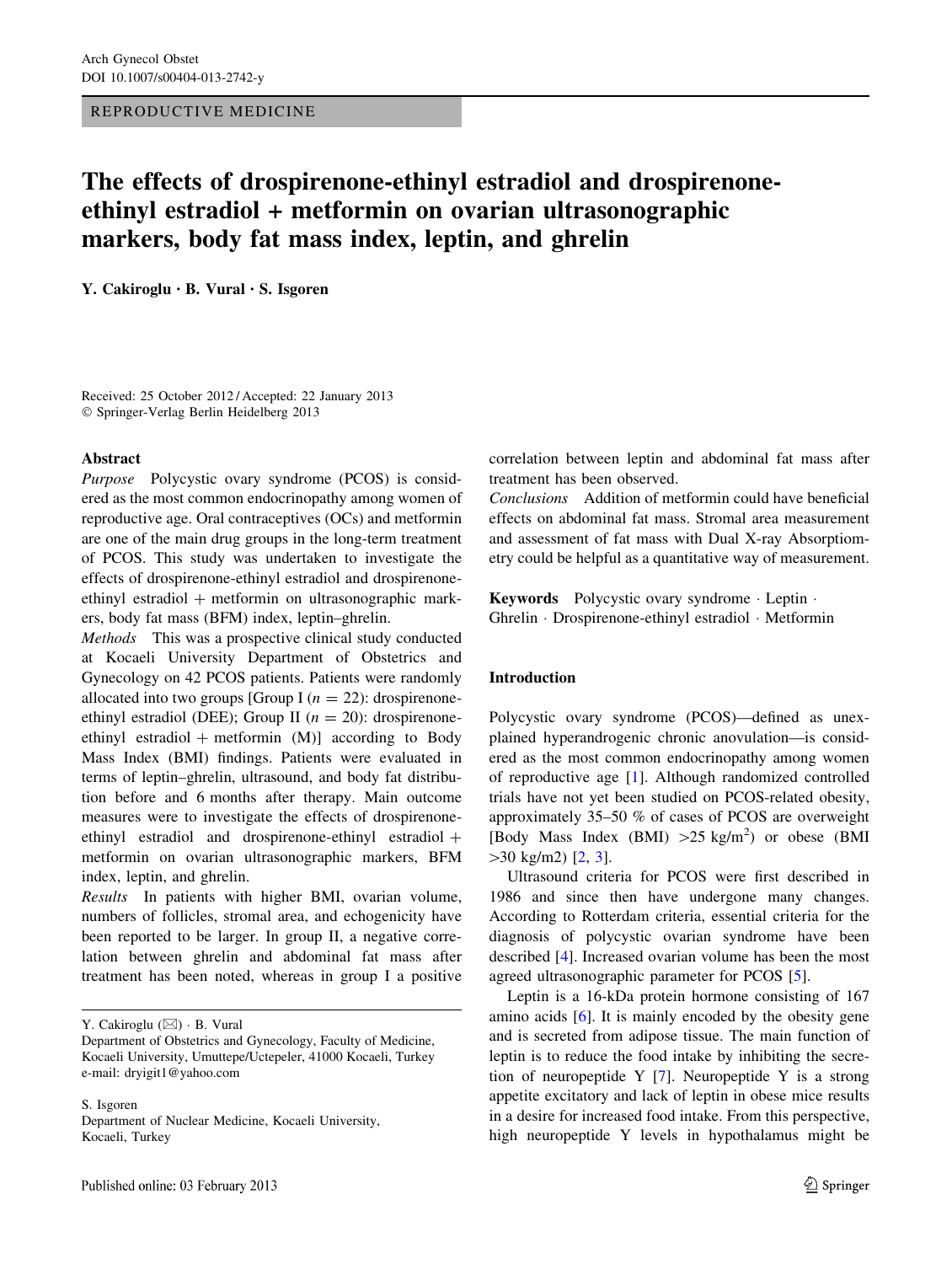### REPRODUCTIVE MEDICINE

# The effects of drospirenone-ethinyl estradiol and drospirenoneethinyl estradiol + metformin on ovarian ultrasonographic markers, body fat mass index, leptin, and ghrelin

Y. Cakiroglu • B. Vural • S. Isgoren

Received: 25 October 2012 / Accepted: 22 January 2013 - Springer-Verlag Berlin Heidelberg 2013

### Abstract

Purpose Polycystic ovary syndrome (PCOS) is considered as the most common endocrinopathy among women of reproductive age. Oral contraceptives (OCs) and metformin are one of the main drug groups in the long-term treatment of PCOS. This study was undertaken to investigate the effects of drospirenone-ethinyl estradiol and drospirenoneethinyl estradiol  $+$  metformin on ultrasonographic markers, body fat mass (BFM) index, leptin–ghrelin.

Methods This was a prospective clinical study conducted at Kocaeli University Department of Obstetrics and Gynecology on 42 PCOS patients. Patients were randomly allocated into two groups [Group I ( $n = 22$ ): drospirenoneethinyl estradiol (DEE); Group II ( $n = 20$ ): drospirenoneethinyl estradiol + metformin  $(M)$ ] according to Body Mass Index (BMI) findings. Patients were evaluated in terms of leptin–ghrelin, ultrasound, and body fat distribution before and 6 months after therapy. Main outcome measures were to investigate the effects of drospirenoneethinyl estradiol and drospirenone-ethinyl estradiol  $+$ metformin on ovarian ultrasonographic markers, BFM index, leptin, and ghrelin.

Results In patients with higher BMI, ovarian volume, numbers of follicles, stromal area, and echogenicity have been reported to be larger. In group II, a negative correlation between ghrelin and abdominal fat mass after treatment has been noted, whereas in group I a positive

Y. Cakiroglu (⊠) · B. Vural

S. Isgoren Department of Nuclear Medicine, Kocaeli University, Kocaeli, Turkey

correlation between leptin and abdominal fat mass after treatment has been observed.

Conclusions Addition of metformin could have beneficial effects on abdominal fat mass. Stromal area measurement and assessment of fat mass with Dual X-ray Absorptiometry could be helpful as a quantitative way of measurement.

Keywords Polycystic ovary syndrome - Leptin - Ghrelin - Drospirenone-ethinyl estradiol - Metformin

### Introduction

Polycystic ovary syndrome (PCOS)—defined as unexplained hyperandrogenic chronic anovulation—is considered as the most common endocrinopathy among women of reproductive age [\[1](#page-6-0)]. Although randomized controlled trials have not yet been studied on PCOS-related obesity, approximately 35–50 % of cases of PCOS are overweight [Body Mass Index (BMI)  $>25$  kg/m<sup>2</sup>) or obese (BMI  $>30 \text{ kg/m2}$  $>30 \text{ kg/m2}$  $>30 \text{ kg/m2}$  [[2,](#page-6-0) 3].

Ultrasound criteria for PCOS were first described in 1986 and since then have undergone many changes. According to Rotterdam criteria, essential criteria for the diagnosis of polycystic ovarian syndrome have been described [[4\]](#page-6-0). Increased ovarian volume has been the most agreed ultrasonographic parameter for PCOS [[5\]](#page-6-0).

Leptin is a 16-kDa protein hormone consisting of 167 amino acids [[6\]](#page-6-0). It is mainly encoded by the obesity gene and is secreted from adipose tissue. The main function of leptin is to reduce the food intake by inhibiting the secretion of neuropeptide Y  $[7]$  $[7]$ . Neuropeptide Y is a strong appetite excitatory and lack of leptin in obese mice results in a desire for increased food intake. From this perspective, high neuropeptide Y levels in hypothalamus might be

Department of Obstetrics and Gynecology, Faculty of Medicine, Kocaeli University, Umuttepe/Uctepeler, 41000 Kocaeli, Turkey e-mail: dryigit1@yahoo.com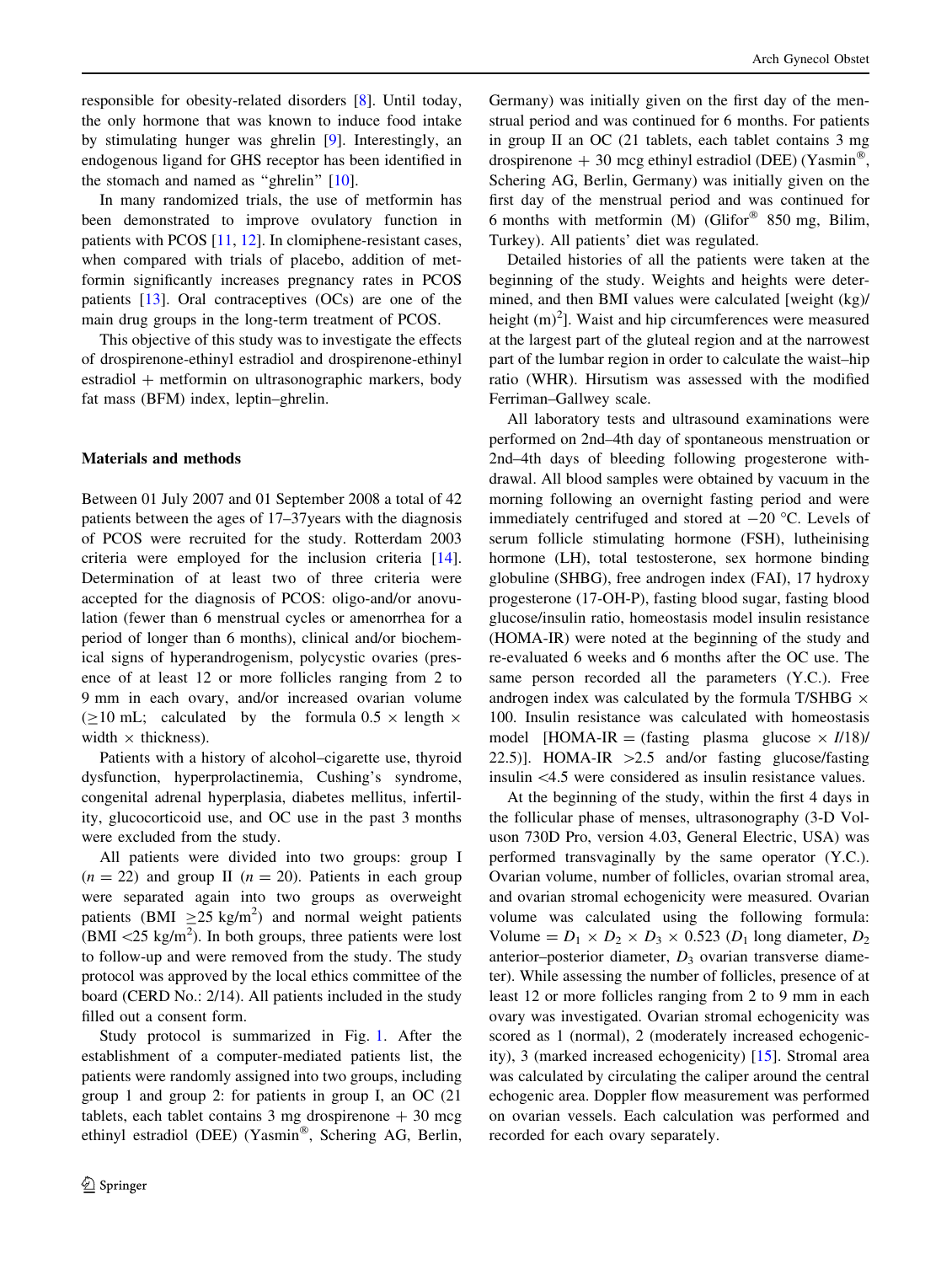responsible for obesity-related disorders [[8\]](#page-6-0). Until today, the only hormone that was known to induce food intake by stimulating hunger was ghrelin [[9\]](#page-6-0). Interestingly, an endogenous ligand for GHS receptor has been identified in the stomach and named as ''ghrelin'' [[10\]](#page-6-0).

In many randomized trials, the use of metformin has been demonstrated to improve ovulatory function in patients with PCOS [[11,](#page-6-0) [12](#page-6-0)]. In clomiphene-resistant cases, when compared with trials of placebo, addition of metformin significantly increases pregnancy rates in PCOS patients [[13\]](#page-6-0). Oral contraceptives (OCs) are one of the main drug groups in the long-term treatment of PCOS.

This objective of this study was to investigate the effects of drospirenone-ethinyl estradiol and drospirenone-ethinyl  $e$ stradiol  $+$  metformin on ultrasonographic markers, body fat mass (BFM) index, leptin–ghrelin.

## Materials and methods

Between 01 July 2007 and 01 September 2008 a total of 42 patients between the ages of 17–37years with the diagnosis of PCOS were recruited for the study. Rotterdam 2003 criteria were employed for the inclusion criteria [\[14](#page-6-0)]. Determination of at least two of three criteria were accepted for the diagnosis of PCOS: oligo-and/or anovulation (fewer than 6 menstrual cycles or amenorrhea for a period of longer than 6 months), clinical and/or biochemical signs of hyperandrogenism, polycystic ovaries (presence of at least 12 or more follicles ranging from 2 to 9 mm in each ovary, and/or increased ovarian volume ( $\geq$ 10 mL; calculated by the formula 0.5  $\times$  length  $\times$ width  $\times$  thickness).

Patients with a history of alcohol–cigarette use, thyroid dysfunction, hyperprolactinemia, Cushing's syndrome, congenital adrenal hyperplasia, diabetes mellitus, infertility, glucocorticoid use, and OC use in the past 3 months were excluded from the study.

All patients were divided into two groups: group I  $(n = 22)$  and group II  $(n = 20)$ . Patients in each group were separated again into two groups as overweight patients (BMI  $\geq$ 25 kg/m<sup>2</sup>) and normal weight patients (BMI  $\langle 25 \text{ kg/m}^2 \rangle$ ). In both groups, three patients were lost to follow-up and were removed from the study. The study protocol was approved by the local ethics committee of the board (CERD No.: 2/14). All patients included in the study filled out a consent form.

Study protocol is summarized in Fig. [1.](#page-2-0) After the establishment of a computer-mediated patients list, the patients were randomly assigned into two groups, including group 1 and group 2: for patients in group I, an OC (21 tablets, each tablet contains  $3 \text{ mg}$  drospirenone  $+30 \text{ mg}$ ethinyl estradiol (DEE) (Yasmin®, Schering AG, Berlin, Germany) was initially given on the first day of the menstrual period and was continued for 6 months. For patients in group II an OC (21 tablets, each tablet contains 3 mg drospirenone  $+30$  mcg ethinyl estradiol (DEE) (Yasmin<sup>®</sup>, Schering AG, Berlin, Germany) was initially given on the first day of the menstrual period and was continued for 6 months with metformin  $(M)$  (Glifor<sup>®</sup> 850 mg, Bilim, Turkey). All patients' diet was regulated.

Detailed histories of all the patients were taken at the beginning of the study. Weights and heights were determined, and then BMI values were calculated [weight (kg)/ height  $(m)^2$ ]. Waist and hip circumferences were measured at the largest part of the gluteal region and at the narrowest part of the lumbar region in order to calculate the waist–hip ratio (WHR). Hirsutism was assessed with the modified Ferriman–Gallwey scale.

All laboratory tests and ultrasound examinations were performed on 2nd–4th day of spontaneous menstruation or 2nd–4th days of bleeding following progesterone withdrawal. All blood samples were obtained by vacuum in the morning following an overnight fasting period and were immediately centrifuged and stored at  $-20$  °C. Levels of serum follicle stimulating hormone (FSH), lutheinising hormone (LH), total testosterone, sex hormone binding globuline (SHBG), free androgen index (FAI), 17 hydroxy progesterone (17-OH-P), fasting blood sugar, fasting blood glucose/insulin ratio, homeostasis model insulin resistance (HOMA-IR) were noted at the beginning of the study and re-evaluated 6 weeks and 6 months after the OC use. The same person recorded all the parameters (Y.C.). Free androgen index was calculated by the formula T/SHBG  $\times$ 100. Insulin resistance was calculated with homeostasis model [HOMA-IR = (fasting plasma glucose  $\times$  *I*/18)/ 22.5)]. HOMA-IR  $>2.5$  and/or fasting glucose/fasting insulin <4.5 were considered as insulin resistance values.

At the beginning of the study, within the first 4 days in the follicular phase of menses, ultrasonography (3-D Voluson 730D Pro, version 4.03, General Electric, USA) was performed transvaginally by the same operator (Y.C.). Ovarian volume, number of follicles, ovarian stromal area, and ovarian stromal echogenicity were measured. Ovarian volume was calculated using the following formula: Volume =  $D_1 \times D_2 \times D_3 \times 0.523$  (D<sub>1</sub> long diameter, D<sub>2</sub> anterior–posterior diameter,  $D_3$  ovarian transverse diameter). While assessing the number of follicles, presence of at least 12 or more follicles ranging from 2 to 9 mm in each ovary was investigated. Ovarian stromal echogenicity was scored as 1 (normal), 2 (moderately increased echogenicity), 3 (marked increased echogenicity) [\[15](#page-6-0)]. Stromal area was calculated by circulating the caliper around the central echogenic area. Doppler flow measurement was performed on ovarian vessels. Each calculation was performed and recorded for each ovary separately.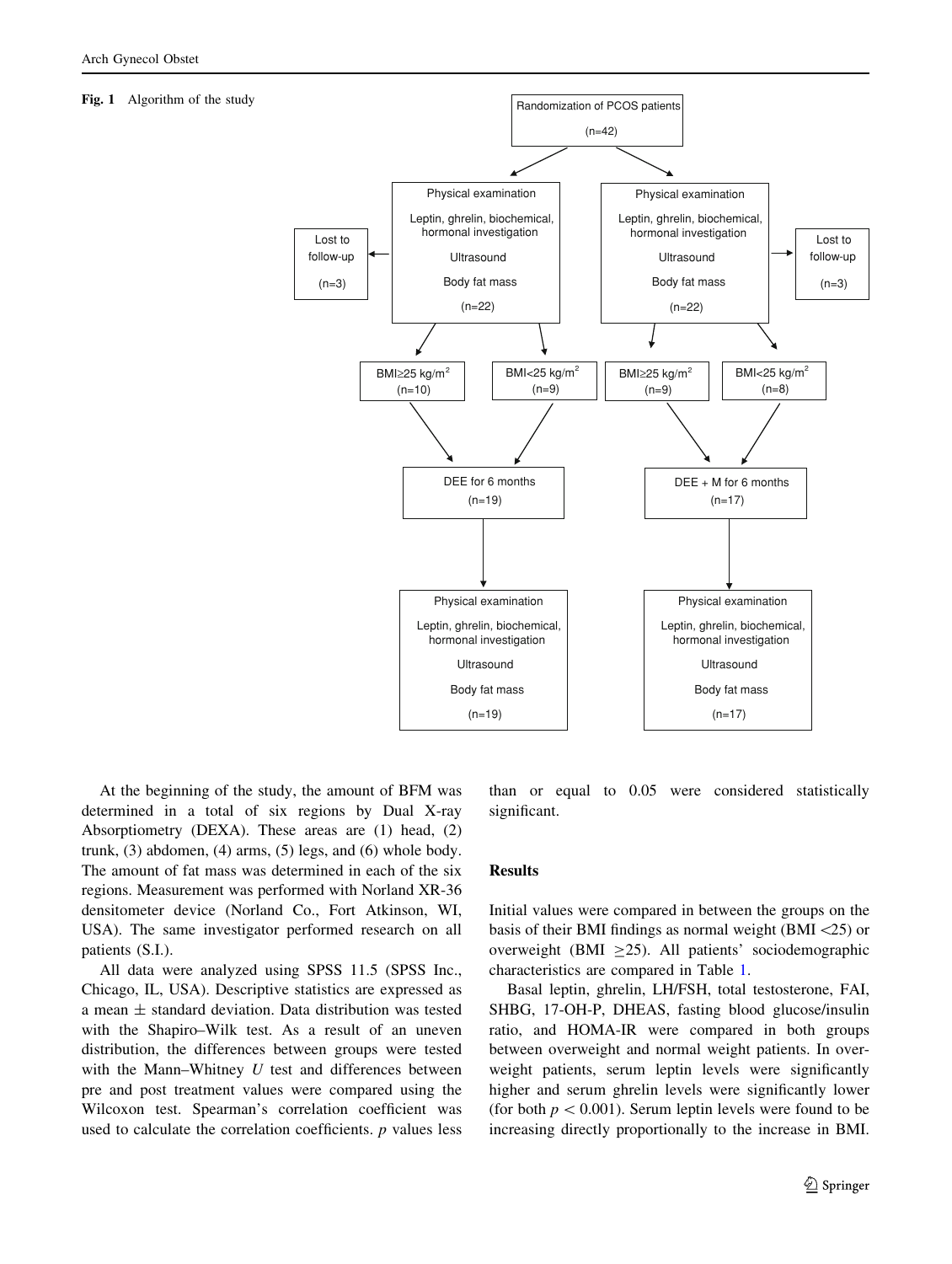#### <span id="page-2-0"></span>Fig. 1 Algorithm of the study



At the beginning of the study, the amount of BFM was determined in a total of six regions by Dual X-ray Absorptiometry (DEXA). These areas are (1) head, (2) trunk,  $(3)$  abdomen,  $(4)$  arms,  $(5)$  legs, and  $(6)$  whole body. The amount of fat mass was determined in each of the six regions. Measurement was performed with Norland XR-36 densitometer device (Norland Co., Fort Atkinson, WI, USA). The same investigator performed research on all patients (S.I.).

All data were analyzed using SPSS 11.5 (SPSS Inc., Chicago, IL, USA). Descriptive statistics are expressed as a mean  $\pm$  standard deviation. Data distribution was tested with the Shapiro–Wilk test. As a result of an uneven distribution, the differences between groups were tested with the Mann–Whitney  $U$  test and differences between pre and post treatment values were compared using the Wilcoxon test. Spearman's correlation coefficient was used to calculate the correlation coefficients.  $p$  values less than or equal to 0.05 were considered statistically significant.

#### Results

Initial values were compared in between the groups on the basis of their BMI findings as normal weight (BMI $\langle 25 \rangle$ ) or overweight (BMI  $\geq$ 25). All patients' sociodemographic characteristics are compared in Table [1.](#page-3-0)

Basal leptin, ghrelin, LH/FSH, total testosterone, FAI, SHBG, 17-OH-P, DHEAS, fasting blood glucose/insulin ratio, and HOMA-IR were compared in both groups between overweight and normal weight patients. In overweight patients, serum leptin levels were significantly higher and serum ghrelin levels were significantly lower (for both  $p < 0.001$ ). Serum leptin levels were found to be increasing directly proportionally to the increase in BMI.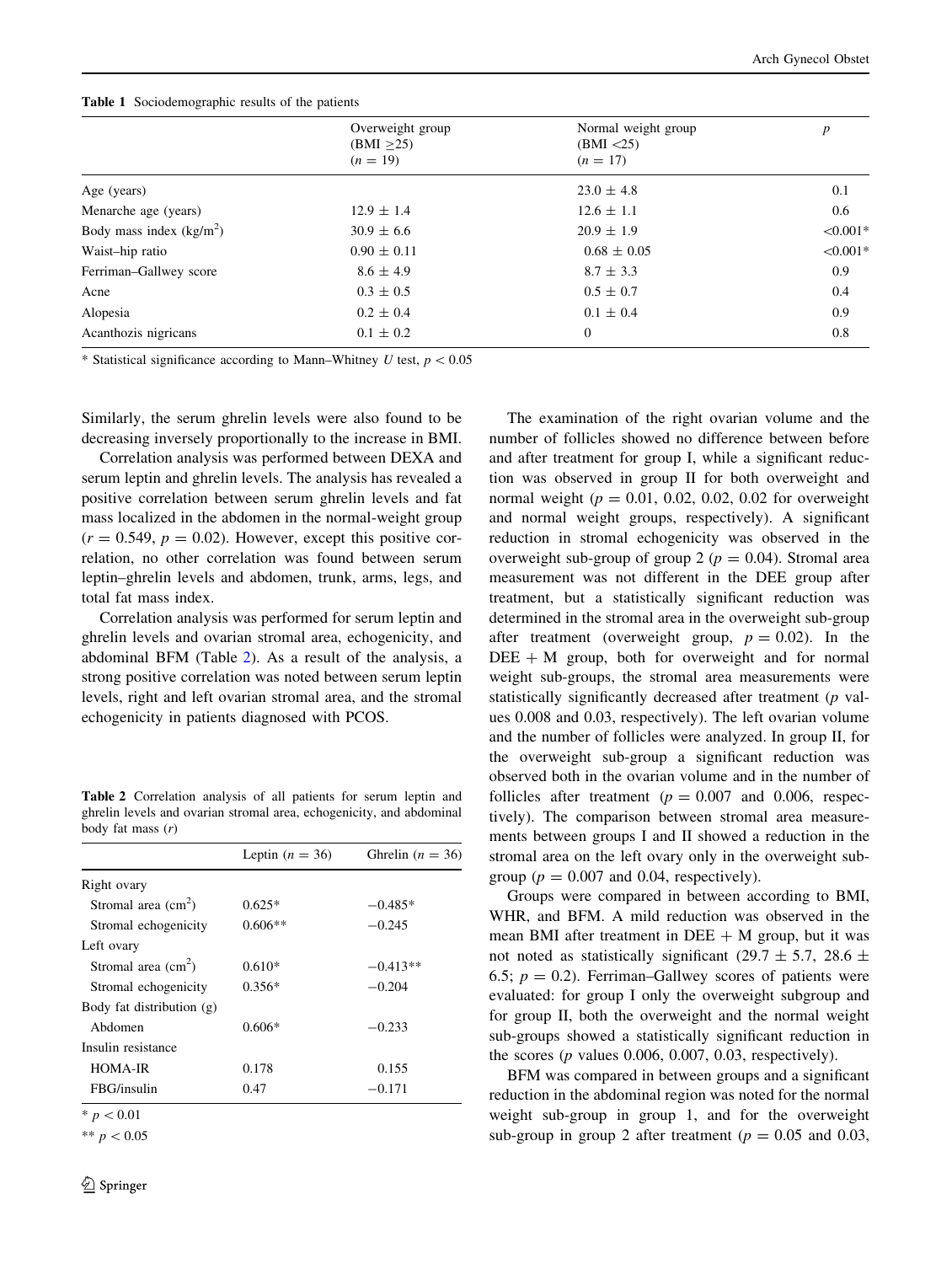| ັ້                        |                  |                     |                  |  |  |  |
|---------------------------|------------------|---------------------|------------------|--|--|--|
|                           | Overweight group | Normal weight group | $\boldsymbol{p}$ |  |  |  |
|                           | $(BMI \geq 25)$  | (BMI < 25)          |                  |  |  |  |
|                           | $(n = 19)$       | $(n = 17)$          |                  |  |  |  |
| Age (years)               |                  | $23.0 \pm 4.8$      | 0.1              |  |  |  |
| Menarche age (years)      | $12.9 \pm 1.4$   | $12.6 \pm 1.1$      | 0.6              |  |  |  |
| Body mass index $(kg/m2)$ | $30.9 \pm 6.6$   | $20.9 \pm 1.9$      | $< 0.001*$       |  |  |  |
| Waist-hip ratio           | $0.90 \pm 0.11$  | $0.68 \pm 0.05$     | $< 0.001*$       |  |  |  |
| Ferriman-Gallwey score    | $8.6 \pm 4.9$    | $8.7 \pm 3.3$       | 0.9              |  |  |  |
| Acne                      | $0.3 \pm 0.5$    | $0.5 \pm 0.7$       | 0.4              |  |  |  |
| Alopesia                  | $0.2 \pm 0.4$    | $0.1 \pm 0.4$       | 0.9              |  |  |  |
| Acanthozis nigricans      | $0.1 \pm 0.2$    | $\overline{0}$      | 0.8              |  |  |  |

<span id="page-3-0"></span>Table 1 Sociodemographic results of the patients

\* Statistical significance according to Mann–Whitney U test,  $p < 0.05$ 

Similarly, the serum ghrelin levels were also found to be decreasing inversely proportionally to the increase in BMI.

Correlation analysis was performed between DEXA and serum leptin and ghrelin levels. The analysis has revealed a positive correlation between serum ghrelin levels and fat mass localized in the abdomen in the normal-weight group  $(r = 0.549, p = 0.02)$ . However, except this positive correlation, no other correlation was found between serum leptin–ghrelin levels and abdomen, trunk, arms, legs, and total fat mass index.

Correlation analysis was performed for serum leptin and ghrelin levels and ovarian stromal area, echogenicity, and abdominal BFM (Table 2). As a result of the analysis, a strong positive correlation was noted between serum leptin levels, right and left ovarian stromal area, and the stromal echogenicity in patients diagnosed with PCOS.

Table 2 Correlation analysis of all patients for serum leptin and ghrelin levels and ovarian stromal area, echogenicity, and abdominal body fat mass  $(r)$ 

|                              | Leptin $(n = 36)$ | Ghrelin $(n = 36)$ |  |  |
|------------------------------|-------------------|--------------------|--|--|
| Right ovary                  |                   |                    |  |  |
| Stromal area $\text{cm}^2$ ) | $0.625*$          | $-0.485*$          |  |  |
| Stromal echogenicity         | $0.606**$         | $-0.245$           |  |  |
| Left ovary                   |                   |                    |  |  |
| Stromal area $\text{cm}^2$ ) | $0.610*$          | $-0.413**$         |  |  |
| Stromal echogenicity         | $0.356*$          | $-0.204$           |  |  |
| Body fat distribution (g)    |                   |                    |  |  |
| Abdomen                      | $0.606*$          | $-0.233$           |  |  |
| Insulin resistance           |                   |                    |  |  |
| <b>HOMA-IR</b>               | 0.178             | 0.155              |  |  |
| FBG/insulin                  | 0.47              | $-0.171$           |  |  |
|                              |                   |                    |  |  |

 $* p < 0.01$ 

\*\*  $p < 0.05$ 

The examination of the right ovarian volume and the number of follicles showed no difference between before and after treatment for group I, while a significant reduction was observed in group II for both overweight and normal weight ( $p = 0.01, 0.02, 0.02, 0.02$  for overweight and normal weight groups, respectively). A significant reduction in stromal echogenicity was observed in the overweight sub-group of group 2 ( $p = 0.04$ ). Stromal area measurement was not different in the DEE group after treatment, but a statistically significant reduction was determined in the stromal area in the overweight sub-group after treatment (overweight group,  $p = 0.02$ ). In the  $DEE + M$  group, both for overweight and for normal weight sub-groups, the stromal area measurements were statistically significantly decreased after treatment  $(p \text{ val-}$ ues 0.008 and 0.03, respectively). The left ovarian volume and the number of follicles were analyzed. In group II, for the overweight sub-group a significant reduction was observed both in the ovarian volume and in the number of follicles after treatment ( $p = 0.007$  and 0.006, respectively). The comparison between stromal area measurements between groups I and II showed a reduction in the stromal area on the left ovary only in the overweight subgroup ( $p = 0.007$  and 0.04, respectively).

Groups were compared in between according to BMI, WHR, and BFM. A mild reduction was observed in the mean BMI after treatment in DEE  $+$  M group, but it was not noted as statistically significant (29.7  $\pm$  5.7, 28.6  $\pm$ 6.5;  $p = 0.2$ ). Ferriman–Gallwey scores of patients were evaluated: for group I only the overweight subgroup and for group II, both the overweight and the normal weight sub-groups showed a statistically significant reduction in the scores ( $p$  values 0.006, 0.007, 0.03, respectively).

BFM was compared in between groups and a significant reduction in the abdominal region was noted for the normal weight sub-group in group 1, and for the overweight sub-group in group 2 after treatment ( $p = 0.05$  and 0.03,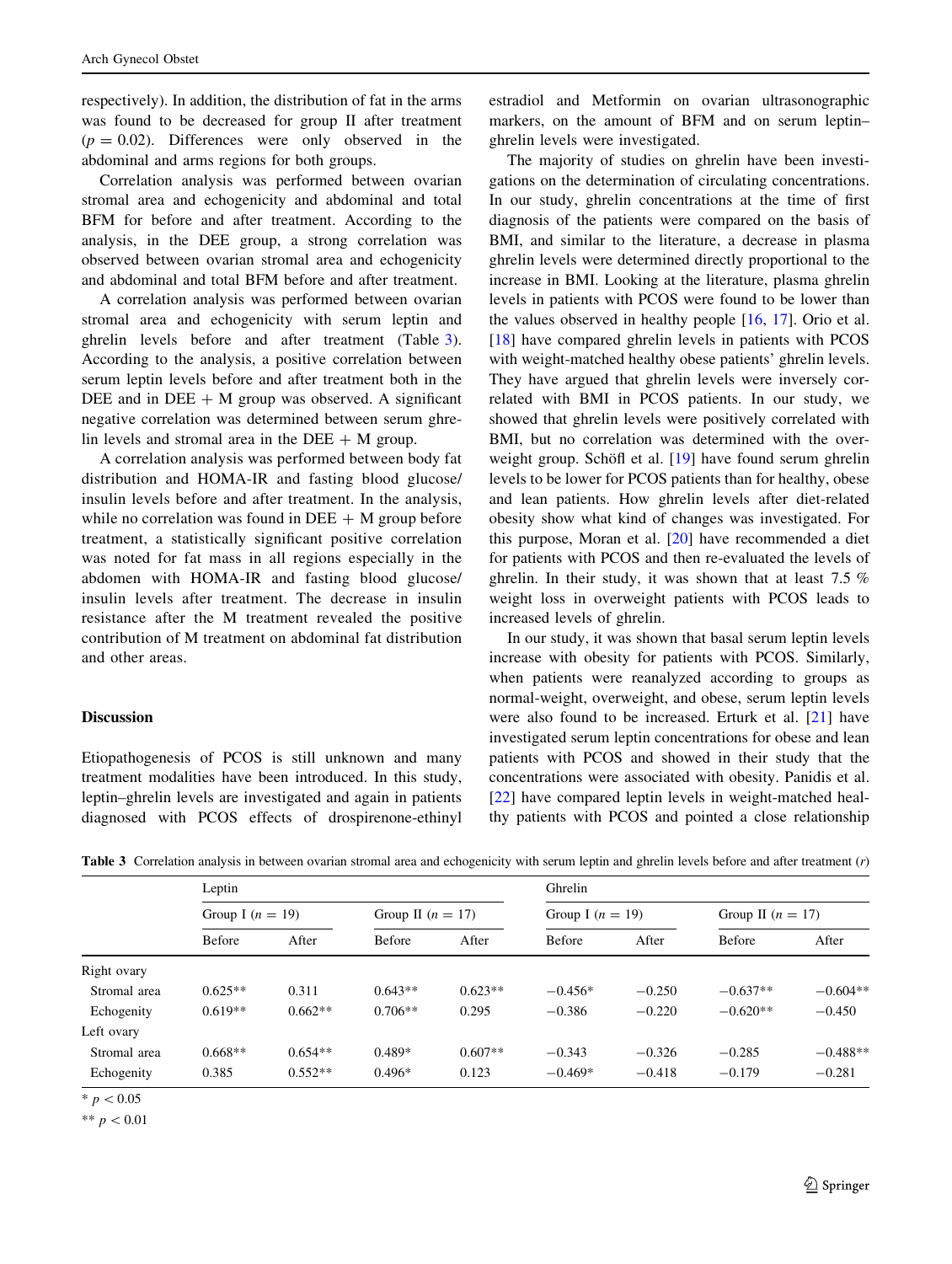respectively). In addition, the distribution of fat in the arms was found to be decreased for group II after treatment  $(p = 0.02)$ . Differences were only observed in the abdominal and arms regions for both groups.

Correlation analysis was performed between ovarian stromal area and echogenicity and abdominal and total BFM for before and after treatment. According to the analysis, in the DEE group, a strong correlation was observed between ovarian stromal area and echogenicity and abdominal and total BFM before and after treatment.

A correlation analysis was performed between ovarian stromal area and echogenicity with serum leptin and ghrelin levels before and after treatment (Table 3). According to the analysis, a positive correlation between serum leptin levels before and after treatment both in the DEE and in DEE  $+$  M group was observed. A significant negative correlation was determined between serum ghrelin levels and stromal area in the DEE  $+$  M group.

A correlation analysis was performed between body fat distribution and HOMA-IR and fasting blood glucose/ insulin levels before and after treatment. In the analysis, while no correlation was found in  $DEE + M$  group before treatment, a statistically significant positive correlation was noted for fat mass in all regions especially in the abdomen with HOMA-IR and fasting blood glucose/ insulin levels after treatment. The decrease in insulin resistance after the M treatment revealed the positive contribution of M treatment on abdominal fat distribution and other areas.

## Discussion

Etiopathogenesis of PCOS is still unknown and many treatment modalities have been introduced. In this study, leptin–ghrelin levels are investigated and again in patients diagnosed with PCOS effects of drospirenone-ethinyl estradiol and Metformin on ovarian ultrasonographic markers, on the amount of BFM and on serum leptin– ghrelin levels were investigated.

The majority of studies on ghrelin have been investigations on the determination of circulating concentrations. In our study, ghrelin concentrations at the time of first diagnosis of the patients were compared on the basis of BMI, and similar to the literature, a decrease in plasma ghrelin levels were determined directly proportional to the increase in BMI. Looking at the literature, plasma ghrelin levels in patients with PCOS were found to be lower than the values observed in healthy people [\[16](#page-6-0), [17](#page-6-0)]. Orio et al. [\[18](#page-6-0)] have compared ghrelin levels in patients with PCOS with weight-matched healthy obese patients' ghrelin levels. They have argued that ghrelin levels were inversely correlated with BMI in PCOS patients. In our study, we showed that ghrelin levels were positively correlated with BMI, but no correlation was determined with the over-weight group. Schöfl et al. [\[19](#page-6-0)] have found serum ghrelin levels to be lower for PCOS patients than for healthy, obese and lean patients. How ghrelin levels after diet-related obesity show what kind of changes was investigated. For this purpose, Moran et al. [[20\]](#page-6-0) have recommended a diet for patients with PCOS and then re-evaluated the levels of ghrelin. In their study, it was shown that at least 7.5 % weight loss in overweight patients with PCOS leads to increased levels of ghrelin.

In our study, it was shown that basal serum leptin levels increase with obesity for patients with PCOS. Similarly, when patients were reanalyzed according to groups as normal-weight, overweight, and obese, serum leptin levels were also found to be increased. Erturk et al. [[21\]](#page-6-0) have investigated serum leptin concentrations for obese and lean patients with PCOS and showed in their study that the concentrations were associated with obesity. Panidis et al. [\[22](#page-6-0)] have compared leptin levels in weight-matched healthy patients with PCOS and pointed a close relationship

|              | Leptin             |           |                     |           | Ghrelin            |          |                     |            |
|--------------|--------------------|-----------|---------------------|-----------|--------------------|----------|---------------------|------------|
|              | Group I $(n = 19)$ |           | Group II $(n = 17)$ |           | Group I $(n = 19)$ |          | Group II $(n = 17)$ |            |
|              | Before             | After     | Before              | After     | <b>Before</b>      | After    | Before              | After      |
| Right ovary  |                    |           |                     |           |                    |          |                     |            |
| Stromal area | $0.625**$          | 0.311     | $0.643**$           | $0.623**$ | $-0.456*$          | $-0.250$ | $-0.637**$          | $-0.604**$ |
| Echogenity   | $0.619**$          | $0.662**$ | $0.706**$           | 0.295     | $-0.386$           | $-0.220$ | $-0.620**$          | $-0.450$   |
| Left ovary   |                    |           |                     |           |                    |          |                     |            |
| Stromal area | $0.668**$          | $0.654**$ | $0.489*$            | $0.607**$ | $-0.343$           | $-0.326$ | $-0.285$            | $-0.488**$ |
| Echogenity   | 0.385              | $0.552**$ | $0.496*$            | 0.123     | $-0.469*$          | $-0.418$ | $-0.179$            | $-0.281$   |

Table 3 Correlation analysis in between ovarian stromal area and echogenicity with serum leptin and ghrelin levels before and after treatment (r)

 $* p < 0.05$ 

\*\*  $p < 0.01$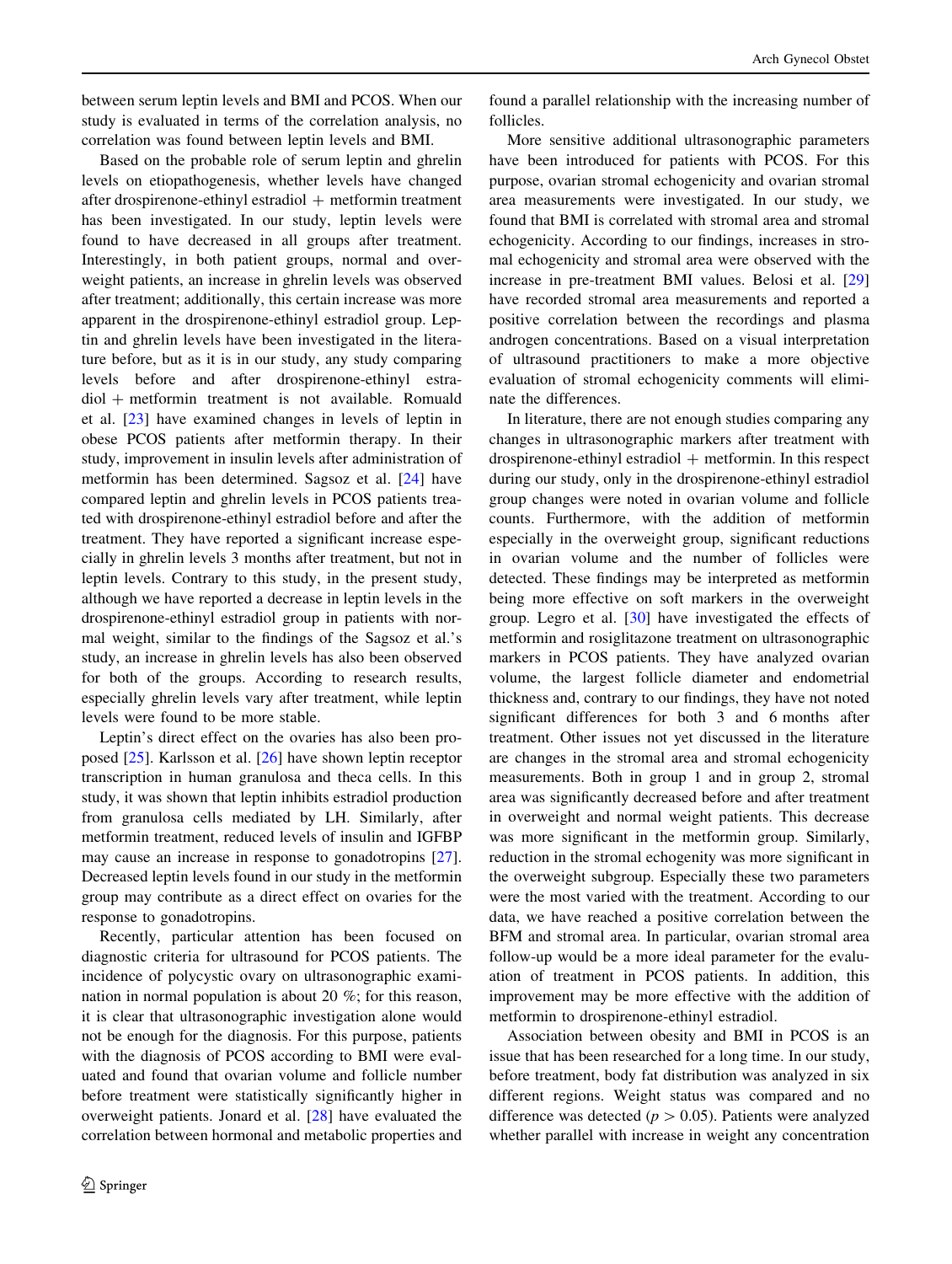between serum leptin levels and BMI and PCOS. When our study is evaluated in terms of the correlation analysis, no correlation was found between leptin levels and BMI.

Based on the probable role of serum leptin and ghrelin levels on etiopathogenesis, whether levels have changed after drospirenone-ethinyl estradiol  $+$  metformin treatment has been investigated. In our study, leptin levels were found to have decreased in all groups after treatment. Interestingly, in both patient groups, normal and overweight patients, an increase in ghrelin levels was observed after treatment; additionally, this certain increase was more apparent in the drospirenone-ethinyl estradiol group. Leptin and ghrelin levels have been investigated in the literature before, but as it is in our study, any study comparing levels before and after drospirenone-ethinyl estra $diol$  + metformin treatment is not available. Romuald et al. [\[23](#page-6-0)] have examined changes in levels of leptin in obese PCOS patients after metformin therapy. In their study, improvement in insulin levels after administration of metformin has been determined. Sagsoz et al. [[24](#page-7-0)] have compared leptin and ghrelin levels in PCOS patients treated with drospirenone-ethinyl estradiol before and after the treatment. They have reported a significant increase especially in ghrelin levels 3 months after treatment, but not in leptin levels. Contrary to this study, in the present study, although we have reported a decrease in leptin levels in the drospirenone-ethinyl estradiol group in patients with normal weight, similar to the findings of the Sagsoz et al.'s study, an increase in ghrelin levels has also been observed for both of the groups. According to research results, especially ghrelin levels vary after treatment, while leptin levels were found to be more stable.

Leptin's direct effect on the ovaries has also been proposed [[25](#page-7-0)]. Karlsson et al. [[26\]](#page-7-0) have shown leptin receptor transcription in human granulosa and theca cells. In this study, it was shown that leptin inhibits estradiol production from granulosa cells mediated by LH. Similarly, after metformin treatment, reduced levels of insulin and IGFBP may cause an increase in response to gonadotropins [\[27](#page-7-0)]. Decreased leptin levels found in our study in the metformin group may contribute as a direct effect on ovaries for the response to gonadotropins.

Recently, particular attention has been focused on diagnostic criteria for ultrasound for PCOS patients. The incidence of polycystic ovary on ultrasonographic examination in normal population is about 20 %; for this reason, it is clear that ultrasonographic investigation alone would not be enough for the diagnosis. For this purpose, patients with the diagnosis of PCOS according to BMI were evaluated and found that ovarian volume and follicle number before treatment were statistically significantly higher in overweight patients. Jonard et al. [\[28](#page-7-0)] have evaluated the correlation between hormonal and metabolic properties and

found a parallel relationship with the increasing number of follicles.

More sensitive additional ultrasonographic parameters have been introduced for patients with PCOS. For this purpose, ovarian stromal echogenicity and ovarian stromal area measurements were investigated. In our study, we found that BMI is correlated with stromal area and stromal echogenicity. According to our findings, increases in stromal echogenicity and stromal area were observed with the increase in pre-treatment BMI values. Belosi et al. [[29\]](#page-7-0) have recorded stromal area measurements and reported a positive correlation between the recordings and plasma androgen concentrations. Based on a visual interpretation of ultrasound practitioners to make a more objective evaluation of stromal echogenicity comments will eliminate the differences.

In literature, there are not enough studies comparing any changes in ultrasonographic markers after treatment with  $drospirenone-ethinyl estradiol + metformin. In this respect$ during our study, only in the drospirenone-ethinyl estradiol group changes were noted in ovarian volume and follicle counts. Furthermore, with the addition of metformin especially in the overweight group, significant reductions in ovarian volume and the number of follicles were detected. These findings may be interpreted as metformin being more effective on soft markers in the overweight group. Legro et al. [[30\]](#page-7-0) have investigated the effects of metformin and rosiglitazone treatment on ultrasonographic markers in PCOS patients. They have analyzed ovarian volume, the largest follicle diameter and endometrial thickness and, contrary to our findings, they have not noted significant differences for both 3 and 6 months after treatment. Other issues not yet discussed in the literature are changes in the stromal area and stromal echogenicity measurements. Both in group 1 and in group 2, stromal area was significantly decreased before and after treatment in overweight and normal weight patients. This decrease was more significant in the metformin group. Similarly, reduction in the stromal echogenity was more significant in the overweight subgroup. Especially these two parameters were the most varied with the treatment. According to our data, we have reached a positive correlation between the BFM and stromal area. In particular, ovarian stromal area follow-up would be a more ideal parameter for the evaluation of treatment in PCOS patients. In addition, this improvement may be more effective with the addition of metformin to drospirenone-ethinyl estradiol.

Association between obesity and BMI in PCOS is an issue that has been researched for a long time. In our study, before treatment, body fat distribution was analyzed in six different regions. Weight status was compared and no difference was detected ( $p > 0.05$ ). Patients were analyzed whether parallel with increase in weight any concentration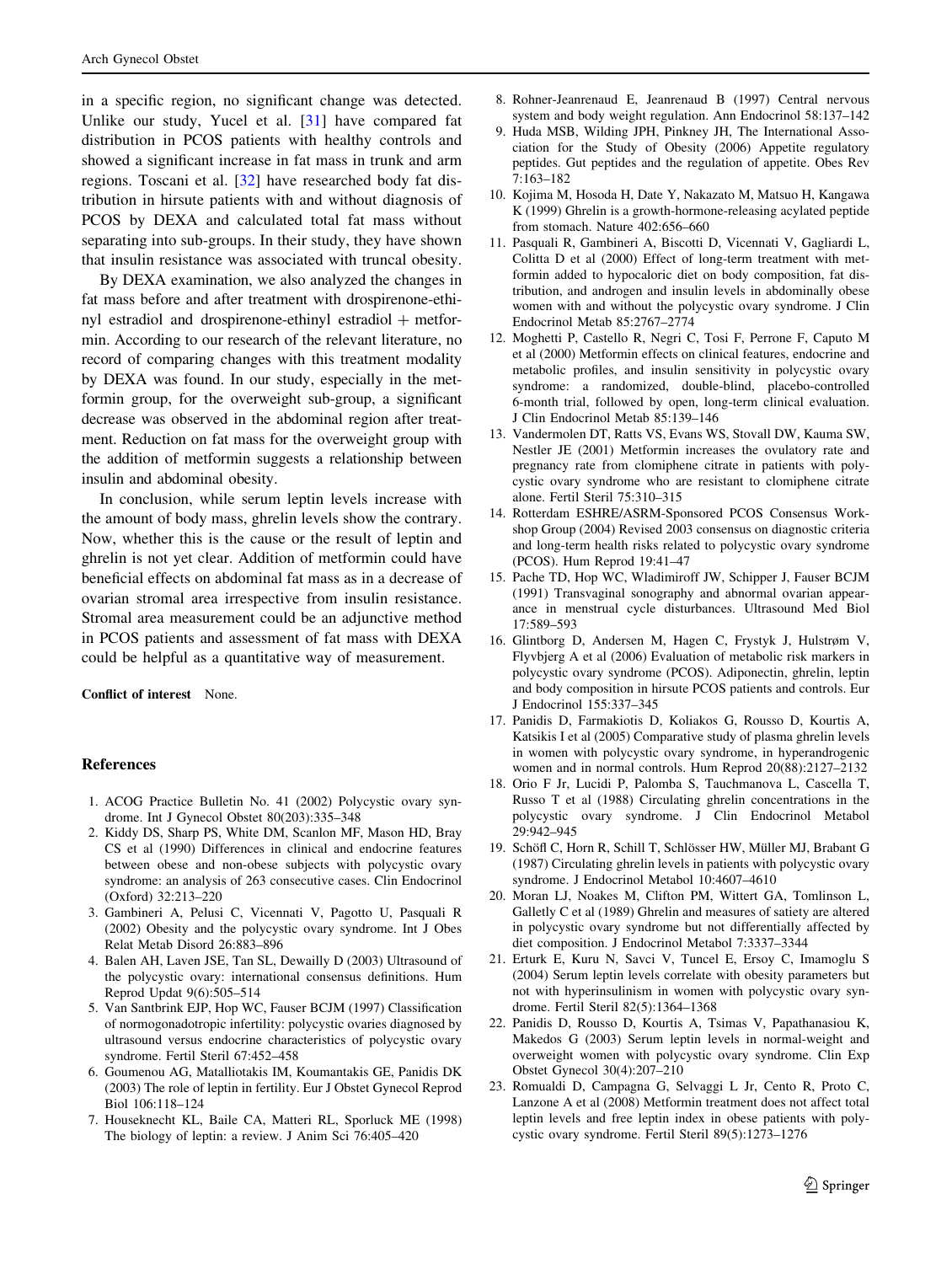<span id="page-6-0"></span>in a specific region, no significant change was detected. Unlike our study, Yucel et al. [\[31](#page-7-0)] have compared fat distribution in PCOS patients with healthy controls and showed a significant increase in fat mass in trunk and arm regions. Toscani et al. [[32\]](#page-7-0) have researched body fat distribution in hirsute patients with and without diagnosis of PCOS by DEXA and calculated total fat mass without separating into sub-groups. In their study, they have shown that insulin resistance was associated with truncal obesity.

By DEXA examination, we also analyzed the changes in fat mass before and after treatment with drospirenone-ethinyl estradiol and drospirenone-ethinyl estradiol  $+$  metformin. According to our research of the relevant literature, no record of comparing changes with this treatment modality by DEXA was found. In our study, especially in the metformin group, for the overweight sub-group, a significant decrease was observed in the abdominal region after treatment. Reduction on fat mass for the overweight group with the addition of metformin suggests a relationship between insulin and abdominal obesity.

In conclusion, while serum leptin levels increase with the amount of body mass, ghrelin levels show the contrary. Now, whether this is the cause or the result of leptin and ghrelin is not yet clear. Addition of metformin could have beneficial effects on abdominal fat mass as in a decrease of ovarian stromal area irrespective from insulin resistance. Stromal area measurement could be an adjunctive method in PCOS patients and assessment of fat mass with DEXA could be helpful as a quantitative way of measurement.

Conflict of interest None.

#### References

- 1. ACOG Practice Bulletin No. 41 (2002) Polycystic ovary syndrome. Int J Gynecol Obstet 80(203):335–348
- 2. Kiddy DS, Sharp PS, White DM, Scanlon MF, Mason HD, Bray CS et al (1990) Differences in clinical and endocrine features between obese and non-obese subjects with polycystic ovary syndrome: an analysis of 263 consecutive cases. Clin Endocrinol (Oxford) 32:213–220
- 3. Gambineri A, Pelusi C, Vicennati V, Pagotto U, Pasquali R (2002) Obesity and the polycystic ovary syndrome. Int J Obes Relat Metab Disord 26:883–896
- 4. Balen AH, Laven JSE, Tan SL, Dewailly D (2003) Ultrasound of the polycystic ovary: international consensus definitions. Hum Reprod Updat 9(6):505–514
- 5. Van Santbrink EJP, Hop WC, Fauser BCJM (1997) Classification of normogonadotropic infertility: polycystic ovaries diagnosed by ultrasound versus endocrine characteristics of polycystic ovary syndrome. Fertil Steril 67:452–458
- 6. Goumenou AG, Matalliotakis IM, Koumantakis GE, Panidis DK (2003) The role of leptin in fertility. Eur J Obstet Gynecol Reprod Biol 106:118–124
- 7. Houseknecht KL, Baile CA, Matteri RL, Sporluck ME (1998) The biology of leptin: a review. J Anim Sci 76:405–420
- 8. Rohner-Jeanrenaud E, Jeanrenaud B (1997) Central nervous system and body weight regulation. Ann Endocrinol 58:137–142
- 9. Huda MSB, Wilding JPH, Pinkney JH, The International Association for the Study of Obesity (2006) Appetite regulatory peptides. Gut peptides and the regulation of appetite. Obes Rev 7:163–182
- 10. Kojima M, Hosoda H, Date Y, Nakazato M, Matsuo H, Kangawa K (1999) Ghrelin is a growth-hormone-releasing acylated peptide from stomach. Nature 402:656–660
- 11. Pasquali R, Gambineri A, Biscotti D, Vicennati V, Gagliardi L, Colitta D et al (2000) Effect of long-term treatment with metformin added to hypocaloric diet on body composition, fat distribution, and androgen and insulin levels in abdominally obese women with and without the polycystic ovary syndrome. J Clin Endocrinol Metab 85:2767–2774
- 12. Moghetti P, Castello R, Negri C, Tosi F, Perrone F, Caputo M et al (2000) Metformin effects on clinical features, endocrine and metabolic profiles, and insulin sensitivity in polycystic ovary syndrome: a randomized, double-blind, placebo-controlled 6-month trial, followed by open, long-term clinical evaluation. J Clin Endocrinol Metab 85:139–146
- 13. Vandermolen DT, Ratts VS, Evans WS, Stovall DW, Kauma SW, Nestler JE (2001) Metformin increases the ovulatory rate and pregnancy rate from clomiphene citrate in patients with polycystic ovary syndrome who are resistant to clomiphene citrate alone. Fertil Steril 75:310–315
- 14. Rotterdam ESHRE/ASRM-Sponsored PCOS Consensus Workshop Group (2004) Revised 2003 consensus on diagnostic criteria and long-term health risks related to polycystic ovary syndrome (PCOS). Hum Reprod 19:41–47
- 15. Pache TD, Hop WC, Wladimiroff JW, Schipper J, Fauser BCJM (1991) Transvaginal sonography and abnormal ovarian appearance in menstrual cycle disturbances. Ultrasound Med Biol 17:589–593
- 16. Glintborg D, Andersen M, Hagen C, Frystyk J, Hulstrøm V, Flyvbjerg A et al (2006) Evaluation of metabolic risk markers in polycystic ovary syndrome (PCOS). Adiponectin, ghrelin, leptin and body composition in hirsute PCOS patients and controls. Eur J Endocrinol 155:337–345
- 17. Panidis D, Farmakiotis D, Koliakos G, Rousso D, Kourtis A, Katsikis I et al (2005) Comparative study of plasma ghrelin levels in women with polycystic ovary syndrome, in hyperandrogenic women and in normal controls. Hum Reprod 20(88):2127–2132
- 18. Orio F Jr, Lucidi P, Palomba S, Tauchmanova L, Cascella T, Russo T et al (1988) Circulating ghrelin concentrations in the polycystic ovary syndrome. J Clin Endocrinol Metabol 29:942–945
- 19. Schöfl C, Horn R, Schill T, Schlösser HW, Müller MJ, Brabant G (1987) Circulating ghrelin levels in patients with polycystic ovary syndrome. J Endocrinol Metabol 10:4607–4610
- 20. Moran LJ, Noakes M, Clifton PM, Wittert GA, Tomlinson L, Galletly C et al (1989) Ghrelin and measures of satiety are altered in polycystic ovary syndrome but not differentially affected by diet composition. J Endocrinol Metabol 7:3337–3344
- 21. Erturk E, Kuru N, Savci V, Tuncel E, Ersoy C, Imamoglu S (2004) Serum leptin levels correlate with obesity parameters but not with hyperinsulinism in women with polycystic ovary syndrome. Fertil Steril 82(5):1364–1368
- 22. Panidis D, Rousso D, Kourtis A, Tsimas V, Papathanasiou K, Makedos G (2003) Serum leptin levels in normal-weight and overweight women with polycystic ovary syndrome. Clin Exp Obstet Gynecol 30(4):207–210
- 23. Romualdi D, Campagna G, Selvaggi L Jr, Cento R, Proto C, Lanzone A et al (2008) Metformin treatment does not affect total leptin levels and free leptin index in obese patients with polycystic ovary syndrome. Fertil Steril 89(5):1273–1276